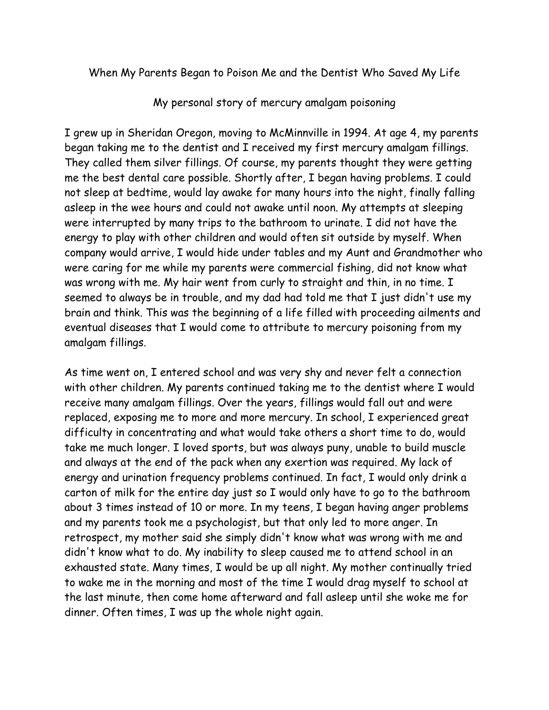## When My Parents Began to Poison Me and the Dentist Who Saved My Life

My personal story of mercury amalgam poisoning

I grew up in Sheridan Oregon, moving to McMinnville in 1994. At age 4, my parents began taking me to the dentist and I received my first mercury amalgam fillings. They called them silver fillings. Of course, my parents thought they were getting me the best dental care possible. Shortly after, I began having problems. I could not sleep at bedtime, would lay awake for many hours into the night, finally falling asleep in the wee hours and could not awake until noon. My attempts at sleeping were interrupted by many trips to the bathroom to urinate. I did not have the energy to play with other children and would often sit outside by myself. When company would arrive, I would hide under tables and my Aunt and Grandmother who were caring for me while my parents were commercial fishing, did not know what was wrong with me. My hair went from curly to straight and thin, in no time. I seemed to always be in trouble, and my dad had told me that I just didn't use my brain and think. This was the beginning of a life filled with proceeding ailments and eventual diseases that I would come to attribute to mercury poisoning from my amalgam fillings.

As time went on, I entered school and was very shy and never felt a connection with other children. My parents continued taking me to the dentist where I would receive many amalgam fillings. Over the years, fillings would fall out and were replaced, exposing me to more and more mercury. In school, I experienced great difficulty in concentrating and what would take others a short time to do, would take me much longer. I loved sports, but was always puny, unable to build muscle and always at the end of the pack when any exertion was required. My lack of energy and urination frequency problems continued. In fact, I would only drink a carton of milk for the entire day just so I would only have to go to the bathroom about 3 times instead of 10 or more. In my teens, I began having anger problems and my parents took me a psychologist, but that only led to more anger. In retrospect, my mother said she simply didn't know what was wrong with me and didn't know what to do. My inability to sleep caused me to attend school in an exhausted state. Many times, I would be up all night. My mother continually tried to wake me in the morning and most of the time I would drag myself to school at the last minute, then come home afterward and fall asleep until she woke me for dinner. Often times, I was up the whole night again.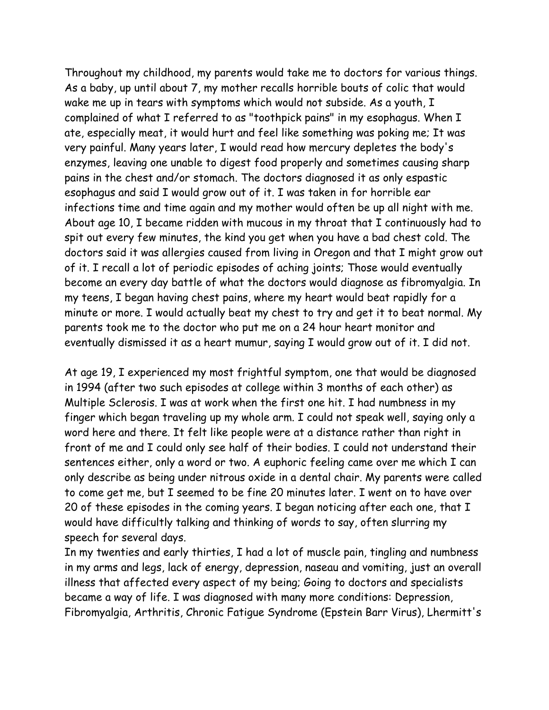Throughout my childhood, my parents would take me to doctors for various things. As a baby, up until about 7, my mother recalls horrible bouts of colic that would wake me up in tears with symptoms which would not subside. As a youth, I complained of what I referred to as "toothpick pains" in my esophagus. When I ate, especially meat, it would hurt and feel like something was poking me; It was very painful. Many years later, I would read how mercury depletes the body's enzymes, leaving one unable to digest food properly and sometimes causing sharp pains in the chest and/or stomach. The doctors diagnosed it as only espastic esophagus and said I would grow out of it. I was taken in for horrible ear infections time and time again and my mother would often be up all night with me. About age 10, I became ridden with mucous in my throat that I continuously had to spit out every few minutes, the kind you get when you have a bad chest cold. The doctors said it was allergies caused from living in Oregon and that I might grow out of it. I recall a lot of periodic episodes of aching joints; Those would eventually become an every day battle of what the doctors would diagnose as fibromyalgia. In my teens, I began having chest pains, where my heart would beat rapidly for a minute or more. I would actually beat my chest to try and get it to beat normal. My parents took me to the doctor who put me on a 24 hour heart monitor and eventually dismissed it as a heart mumur, saying I would grow out of it. I did not.

At age 19, I experienced my most frightful symptom, one that would be diagnosed in 1994 (after two such episodes at college within 3 months of each other) as Multiple Sclerosis. I was at work when the first one hit. I had numbness in my finger which began traveling up my whole arm. I could not speak well, saying only a word here and there. It felt like people were at a distance rather than right in front of me and I could only see half of their bodies. I could not understand their sentences either, only a word or two. A euphoric feeling came over me which I can only describe as being under nitrous oxide in a dental chair. My parents were called to come get me, but I seemed to be fine 20 minutes later. I went on to have over 20 of these episodes in the coming years. I began noticing after each one, that I would have difficultly talking and thinking of words to say, often slurring my speech for several days.

In my twenties and early thirties, I had a lot of muscle pain, tingling and numbness in my arms and legs, lack of energy, depression, naseau and vomiting, just an overall illness that affected every aspect of my being; Going to doctors and specialists became a way of life. I was diagnosed with many more conditions: Depression, Fibromyalgia, Arthritis, Chronic Fatigue Syndrome (Epstein Barr Virus), Lhermitt's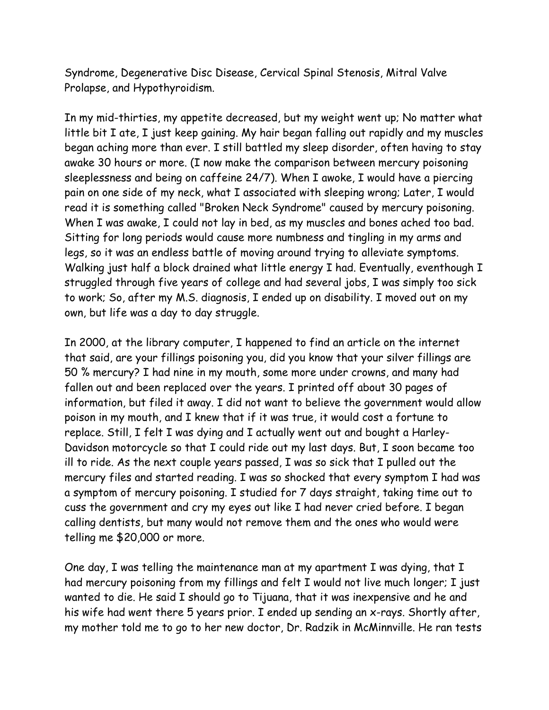Syndrome, Degenerative Disc Disease, Cervical Spinal Stenosis, Mitral Valve Prolapse, and Hypothyroidism.

In my mid-thirties, my appetite decreased, but my weight went up; No matter what little bit I ate, I just keep gaining. My hair began falling out rapidly and my muscles began aching more than ever. I still battled my sleep disorder, often having to stay awake 30 hours or more. (I now make the comparison between mercury poisoning sleeplessness and being on caffeine 24/7). When I awoke, I would have a piercing pain on one side of my neck, what I associated with sleeping wrong; Later, I would read it is something called "Broken Neck Syndrome" caused by mercury poisoning. When I was awake, I could not lay in bed, as my muscles and bones ached too bad. Sitting for long periods would cause more numbness and tingling in my arms and legs, so it was an endless battle of moving around trying to alleviate symptoms. Walking just half a block drained what little energy I had. Eventually, eventhough I struggled through five years of college and had several jobs, I was simply too sick to work; So, after my M.S. diagnosis, I ended up on disability. I moved out on my own, but life was a day to day struggle.

In 2000, at the library computer, I happened to find an article on the internet that said, are your fillings poisoning you, did you know that your silver fillings are 50 % mercury? I had nine in my mouth, some more under crowns, and many had fallen out and been replaced over the years. I printed off about 30 pages of information, but filed it away. I did not want to believe the government would allow poison in my mouth, and I knew that if it was true, it would cost a fortune to replace. Still, I felt I was dying and I actually went out and bought a Harley-Davidson motorcycle so that I could ride out my last days. But, I soon became too ill to ride. As the next couple years passed, I was so sick that I pulled out the mercury files and started reading. I was so shocked that every symptom I had was a symptom of mercury poisoning. I studied for 7 days straight, taking time out to cuss the government and cry my eyes out like I had never cried before. I began calling dentists, but many would not remove them and the ones who would were telling me \$20,000 or more.

One day, I was telling the maintenance man at my apartment I was dying, that I had mercury poisoning from my fillings and felt I would not live much longer; I just wanted to die. He said I should go to Tijuana, that it was inexpensive and he and his wife had went there 5 years prior. I ended up sending an x-rays. Shortly after, my mother told me to go to her new doctor, Dr. Radzik in McMinnville. He ran tests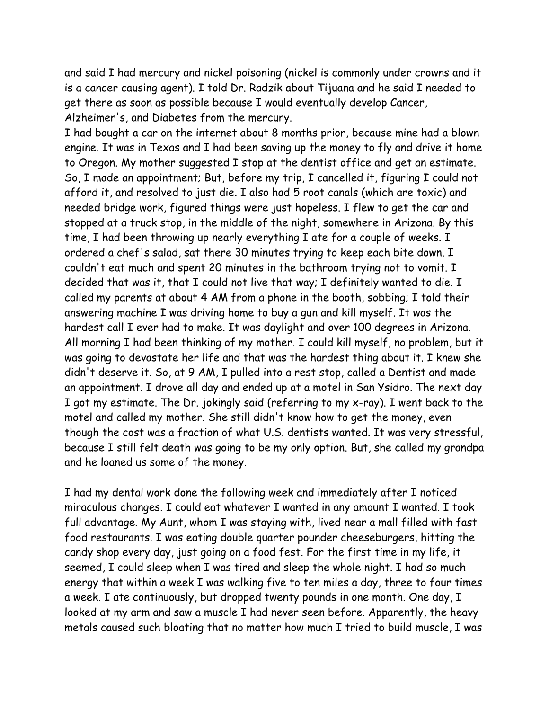and said I had mercury and nickel poisoning (nickel is commonly under crowns and it is a cancer causing agent). I told Dr. Radzik about Tijuana and he said I needed to get there as soon as possible because I would eventually develop Cancer, Alzheimer's, and Diabetes from the mercury.

I had bought a car on the internet about 8 months prior, because mine had a blown engine. It was in Texas and I had been saving up the money to fly and drive it home to Oregon. My mother suggested I stop at the dentist office and get an estimate. So, I made an appointment; But, before my trip, I cancelled it, figuring I could not afford it, and resolved to just die. I also had 5 root canals (which are toxic) and needed bridge work, figured things were just hopeless. I flew to get the car and stopped at a truck stop, in the middle of the night, somewhere in Arizona. By this time, I had been throwing up nearly everything I ate for a couple of weeks. I ordered a chef's salad, sat there 30 minutes trying to keep each bite down. I couldn't eat much and spent 20 minutes in the bathroom trying not to vomit. I decided that was it, that I could not live that way; I definitely wanted to die. I called my parents at about 4 AM from a phone in the booth, sobbing; I told their answering machine I was driving home to buy a gun and kill myself. It was the hardest call I ever had to make. It was daylight and over 100 degrees in Arizona. All morning I had been thinking of my mother. I could kill myself, no problem, but it was going to devastate her life and that was the hardest thing about it. I knew she didn't deserve it. So, at 9 AM, I pulled into a rest stop, called a Dentist and made an appointment. I drove all day and ended up at a motel in San Ysidro. The next day I got my estimate. The Dr. jokingly said (referring to my x-ray). I went back to the motel and called my mother. She still didn't know how to get the money, even though the cost was a fraction of what U.S. dentists wanted. It was very stressful, because I still felt death was going to be my only option. But, she called my grandpa and he loaned us some of the money.

I had my dental work done the following week and immediately after I noticed miraculous changes. I could eat whatever I wanted in any amount I wanted. I took full advantage. My Aunt, whom I was staying with, lived near a mall filled with fast food restaurants. I was eating double quarter pounder cheeseburgers, hitting the candy shop every day, just going on a food fest. For the first time in my life, it seemed, I could sleep when I was tired and sleep the whole night. I had so much energy that within a week I was walking five to ten miles a day, three to four times a week. I ate continuously, but dropped twenty pounds in one month. One day, I looked at my arm and saw a muscle I had never seen before. Apparently, the heavy metals caused such bloating that no matter how much I tried to build muscle, I was